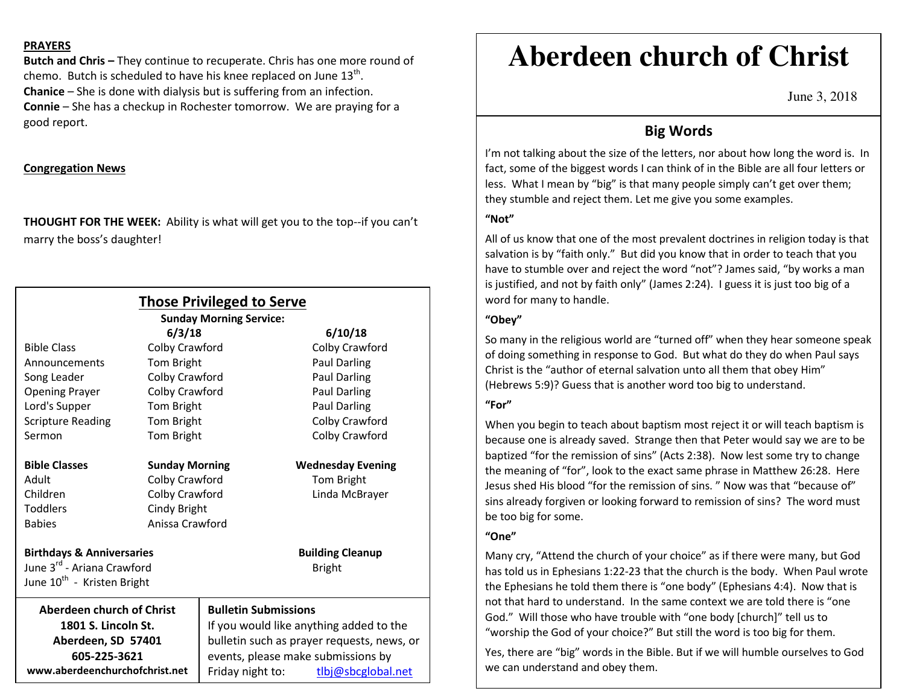#### **PRAYERS**

**Butch and Chris –** They continue to recuperate. Chris has one more round of chemo. Butch is scheduled to have his knee replaced on June  $13<sup>th</sup>$ . **Chanice** – She is done with dialysis but is suffering from an infection. **Connie** – She has a checkup in Rochester tomorrow. We are praying for a good report.

## **Congregation News**

**THOUGHT FOR THE WEEK:** Ability is what will get you to the top--if you can't marry the boss's daughter!

|                                                           |                       | <b>Those Privileged to Serve</b><br><b>Sunday Morning Service:</b>                                                          |                          |                                |  |                  |                    |
|-----------------------------------------------------------|-----------------------|-----------------------------------------------------------------------------------------------------------------------------|--------------------------|--------------------------------|--|------------------|--------------------|
|                                                           | 6/3/18                |                                                                                                                             | 6/10/18                  |                                |  |                  |                    |
| <b>Bible Class</b>                                        | Colby Crawford        |                                                                                                                             | Colby Crawford           |                                |  |                  |                    |
| Announcements                                             | Tom Bright            |                                                                                                                             | <b>Paul Darling</b>      |                                |  |                  |                    |
| Song Leader                                               | Colby Crawford        |                                                                                                                             | <b>Paul Darling</b>      |                                |  |                  |                    |
| <b>Opening Prayer</b>                                     | Colby Crawford        |                                                                                                                             | Paul Darling             |                                |  |                  |                    |
| Lord's Supper                                             | Tom Bright            |                                                                                                                             | Paul Darling             |                                |  |                  |                    |
| <b>Scripture Reading</b>                                  | Tom Bright            |                                                                                                                             | Colby Crawford           |                                |  |                  |                    |
| Sermon                                                    | Tom Bright            |                                                                                                                             | Colby Crawford           |                                |  |                  |                    |
| <b>Bible Classes</b>                                      | <b>Sunday Morning</b> |                                                                                                                             | <b>Wednesday Evening</b> |                                |  |                  |                    |
| Adult                                                     | Colby Crawford        |                                                                                                                             | Tom Bright               |                                |  |                  |                    |
| Children                                                  | Colby Crawford        |                                                                                                                             | Linda McBrayer           |                                |  |                  |                    |
| <b>Toddlers</b>                                           | Cindy Bright          |                                                                                                                             |                          |                                |  |                  |                    |
| <b>Babies</b>                                             | Anissa Crawford       |                                                                                                                             |                          |                                |  |                  |                    |
| <b>Birthdays &amp; Anniversaries</b>                      |                       |                                                                                                                             | <b>Building Cleanup</b>  |                                |  |                  |                    |
| June 3 <sup>rd</sup> - Ariana Crawford                    |                       |                                                                                                                             | <b>Bright</b>            |                                |  |                  |                    |
| June 10 <sup>th</sup> - Kristen Bright                    |                       |                                                                                                                             |                          |                                |  |                  |                    |
| <b>Aberdeen church of Christ</b>                          |                       | <b>Bulletin Submissions</b>                                                                                                 |                          |                                |  |                  |                    |
| 1801 S. Lincoln St.<br>Aberdeen, SD 57401<br>605-225-3621 |                       | If you would like anything added to the<br>bulletin such as prayer requests, news, or<br>events, please make submissions by |                          |                                |  |                  |                    |
|                                                           |                       |                                                                                                                             |                          | www.aberdeenchurchofchrist.net |  | Friday night to: | tlbj@sbcglobal.net |

# **Aberdeen church of Christ**

June 3, 2018

# **Big Words**

I'm not talking about the size of the letters, nor about how long the word is. In fact, some of the biggest words I can think of in the Bible are all four letters or less. What I mean by "big" is that many people simply can't get over them; they stumble and reject them. Let me give you some examples.

# **"Not"**

All of us know that one of the most prevalent doctrines in religion today is that salvation is by "faith only." But did you know that in order to teach that you have to stumble over and reject the word "not"? James said, "by works a man is justified, and not by faith only" (James 2:24). I guess it is just too big of a word for many to handle.

## **"Obey"**

So many in the religious world are "turned off" when they hear someone speak of doing something in response to God. But what do they do when Paul says Christ is the "author of eternal salvation unto all them that obey Him" (Hebrews 5:9)? Guess that is another word too big to understand.

## **"For"**

When you begin to teach about baptism most reject it or will teach baptism is because one is already saved. Strange then that Peter would say we are to be baptized "for the remission of sins" (Acts 2:38). Now lest some try to change the meaning of "for", look to the exact same phrase in Matthew 26:28. Here Jesus shed His blood "for the remission of sins. " Now was that "because of" sins already forgiven or looking forward to remission of sins? The word must be too big for some.

### **"One"**

Many cry, "Attend the church of your choice" as if there were many, but God has told us in Ephesians 1:22-23 that the church is the body. When Paul wrote the Ephesians he told them there is "one body" (Ephesians 4:4). Now that is not that hard to understand. In the same context we are told there is "one God." Will those who have trouble with "one body [church]" tell us to "worship the God of your choice?" But still the word is too big for them.

Yes, there are "big" words in the Bible. But if we will humble ourselves to God we can understand and obey them.